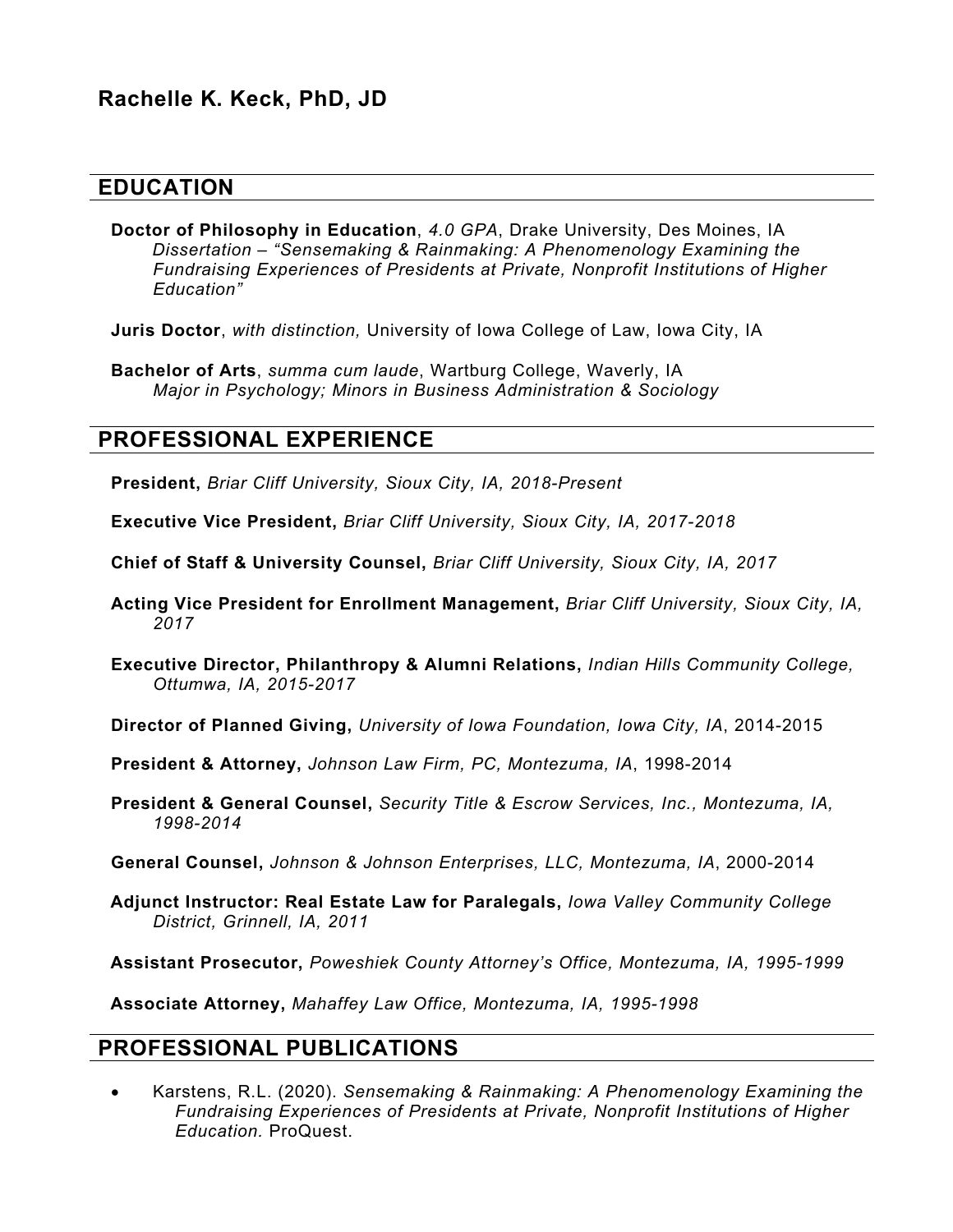### **EDUCATION**

**Doctor of Philosophy in Education**, *4.0 GPA*, Drake University, Des Moines, IA *Dissertation – "Sensemaking & Rainmaking: A Phenomenology Examining the Fundraising Experiences of Presidents at Private, Nonprofit Institutions of Higher Education"* 

**Juris Doctor**, *with distinction,* University of Iowa College of Law, Iowa City, IA

**Bachelor of Arts**, *summa cum laude*, Wartburg College, Waverly, IA *Major in Psychology; Minors in Business Administration & Sociology*

### **PROFESSIONAL EXPERIENCE**

**President,** *Briar Cliff University, Sioux City, IA, 2018-Present*

**Executive Vice President,** *Briar Cliff University, Sioux City, IA, 2017-2018*

**Chief of Staff & University Counsel,** *Briar Cliff University, Sioux City, IA, 2017*

- **Acting Vice President for Enrollment Management,** *Briar Cliff University, Sioux City, IA, 2017*
- **Executive Director, Philanthropy & Alumni Relations,** *Indian Hills Community College, Ottumwa, IA, 2015-2017*

**Director of Planned Giving,** *University of Iowa Foundation, Iowa City, IA*, 2014-2015

- **President & Attorney,** *Johnson Law Firm, PC, Montezuma, IA*, 1998-2014
- **President & General Counsel,** *Security Title & Escrow Services, Inc., Montezuma, IA, 1998-2014*

**General Counsel,** *Johnson & Johnson Enterprises, LLC, Montezuma, IA*, 2000-2014

**Adjunct Instructor: Real Estate Law for Paralegals,** *Iowa Valley Community College District, Grinnell, IA, 2011*

**Assistant Prosecutor,** *Poweshiek County Attorney's Office, Montezuma, IA, 1995-1999*

**Associate Attorney,** *Mahaffey Law Office, Montezuma, IA, 1995-1998*

#### **PROFESSIONAL PUBLICATIONS**

• Karstens, R.L. (2020). *Sensemaking & Rainmaking: A Phenomenology Examining the Fundraising Experiences of Presidents at Private, Nonprofit Institutions of Higher Education.* ProQuest.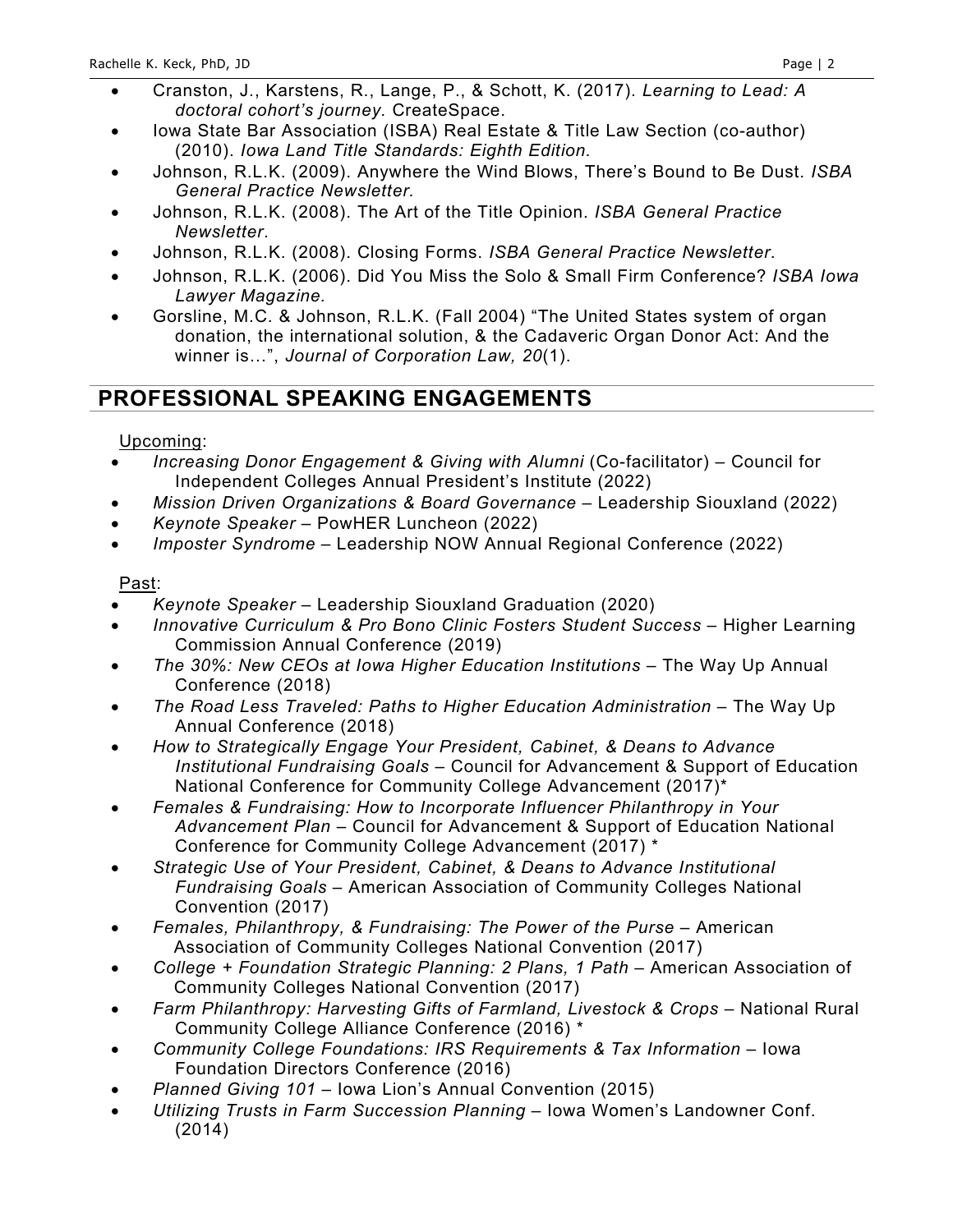- Cranston, J., Karstens, R., Lange, P., & Schott, K. (2017). *Learning to Lead: A doctoral cohort's journey.* CreateSpace.
- Iowa State Bar Association (ISBA) Real Estate & Title Law Section (co-author) (2010). *Iowa Land Title Standards: Eighth Edition.*
- Johnson, R.L.K. (2009). Anywhere the Wind Blows, There's Bound to Be Dust. *ISBA General Practice Newsletter.*
- Johnson, R.L.K. (2008). The Art of the Title Opinion. *ISBA General Practice Newsletter*.
- Johnson, R.L.K. (2008). Closing Forms. *ISBA General Practice Newsletter*.
- Johnson, R.L.K. (2006). Did You Miss the Solo & Small Firm Conference? *ISBA Iowa Lawyer Magazine.*
- Gorsline, M.C. & Johnson, R.L.K. (Fall 2004) "The United States system of organ donation, the international solution, & the Cadaveric Organ Donor Act: And the winner is…", *Journal of Corporation Law, 20*(1).

## **PROFESSIONAL SPEAKING ENGAGEMENTS**

#### Upcoming:

- *Increasing Donor Engagement & Giving with Alumni* (Co-facilitator) Council for Independent Colleges Annual President's Institute (2022)
- *Mission Driven Organizations & Board Governance* Leadership Siouxland (2022)
- *Keynote Speaker* PowHER Luncheon (2022)
- *Imposter Syndrome* Leadership NOW Annual Regional Conference (2022)

#### Past:

- *Keynote Speaker* Leadership Siouxland Graduation (2020)
- *Innovative Curriculum & Pro Bono Clinic Fosters Student Success* Higher Learning Commission Annual Conference (2019)
- *The 30%: New CEOs at Iowa Higher Education Institutions* The Way Up Annual Conference (2018)
- *The Road Less Traveled: Paths to Higher Education Administration* The Way Up Annual Conference (2018)
- *How to Strategically Engage Your President, Cabinet, & Deans to Advance Institutional Fundraising Goals* – Council for Advancement & Support of Education National Conference for Community College Advancement (2017)\*
- *Females & Fundraising: How to Incorporate Influencer Philanthropy in Your Advancement Plan* – Council for Advancement & Support of Education National Conference for Community College Advancement (2017) \*
- *Strategic Use of Your President, Cabinet, & Deans to Advance Institutional Fundraising Goals* – American Association of Community Colleges National Convention (2017)
- *Females, Philanthropy, & Fundraising: The Power of the Purse American* Association of Community Colleges National Convention (2017)
- *College + Foundation Strategic Planning: 2 Plans, 1 Path*  American Association of Community Colleges National Convention (2017)
- *Farm Philanthropy: Harvesting Gifts of Farmland, Livestock & Crops* National Rural Community College Alliance Conference (2016) \*
- *Community College Foundations: IRS Requirements & Tax Information* Iowa Foundation Directors Conference (2016)
- *Planned Giving 101* Iowa Lion's Annual Convention (2015)
- *Utilizing Trusts in Farm Succession Planning* Iowa Women's Landowner Conf. (2014)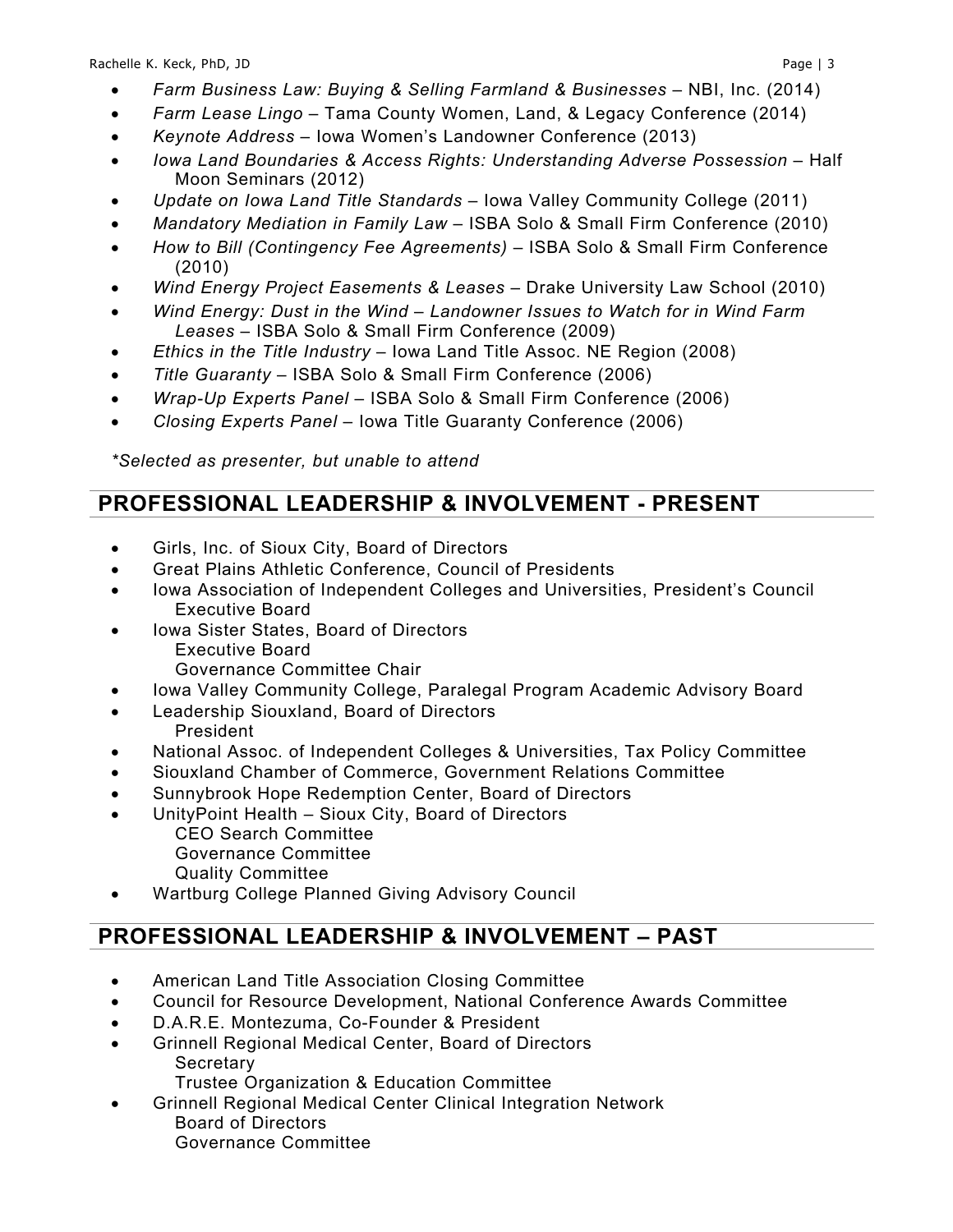- *Farm Lease Lingo* Tama County Women, Land, & Legacy Conference (2014)
- *Keynote Address* Iowa Women's Landowner Conference (2013)
- *Iowa Land Boundaries & Access Rights: Understanding Adverse Possession* Half Moon Seminars (2012)
- *Update on Iowa Land Title Standards* Iowa Valley Community College (2011)
- *Mandatory Mediation in Family Law* ISBA Solo & Small Firm Conference (2010)
- *How to Bill (Contingency Fee Agreements)* ISBA Solo & Small Firm Conference (2010)
- *Wind Energy Project Easements & Leases* Drake University Law School (2010)
- *Wind Energy: Dust in the Wind – Landowner Issues to Watch for in Wind Farm Leases* – ISBA Solo & Small Firm Conference (2009)
- *Ethics in the Title Industry* Iowa Land Title Assoc. NE Region (2008)
- *Title Guaranty* ISBA Solo & Small Firm Conference (2006)
- *Wrap-Up Experts Panel* ISBA Solo & Small Firm Conference (2006)
- *Closing Experts Panel* Iowa Title Guaranty Conference (2006)

*\*Selected as presenter, but unable to attend*

## **PROFESSIONAL LEADERSHIP & INVOLVEMENT - PRESENT**

- Girls, Inc. of Sioux City, Board of Directors
- Great Plains Athletic Conference, Council of Presidents
- Iowa Association of Independent Colleges and Universities, President's Council Executive Board
- Iowa Sister States, Board of Directors Executive Board Governance Committee Chair
- Iowa Valley Community College, Paralegal Program Academic Advisory Board
- Leadership Siouxland, Board of Directors President
- National Assoc. of Independent Colleges & Universities, Tax Policy Committee
- Siouxland Chamber of Commerce, Government Relations Committee
- Sunnybrook Hope Redemption Center, Board of Directors
- UnityPoint Health Sioux City, Board of Directors
	- CEO Search Committee Governance Committee Quality Committee
- Wartburg College Planned Giving Advisory Council

# **PROFESSIONAL LEADERSHIP & INVOLVEMENT – PAST**

- American Land Title Association Closing Committee
- Council for Resource Development, National Conference Awards Committee
- D.A.R.E. Montezuma, Co-Founder & President
- Grinnell Regional Medical Center, Board of Directors **Secretary** 
	- Trustee Organization & Education Committee
- Grinnell Regional Medical Center Clinical Integration Network Board of Directors Governance Committee